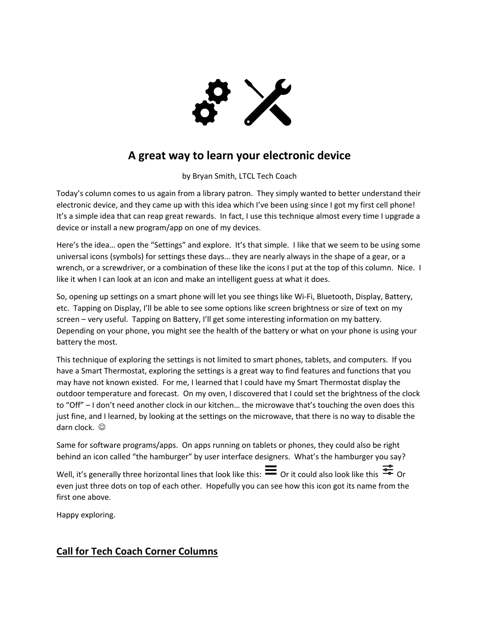

## **A great way to learn your electronic device**

by Bryan Smith, LTCL Tech Coach

Today's column comes to us again from a library patron. They simply wanted to better understand their electronic device, and they came up with this idea which I've been using since I got my first cell phone! It's a simple idea that can reap great rewards. In fact, I use this technique almost every time I upgrade a device or install a new program/app on one of my devices.

Here's the idea… open the "Settings" and explore. It's that simple. I like that we seem to be using some universal icons (symbols) for settings these days… they are nearly always in the shape of a gear, or a wrench, or a screwdriver, or a combination of these like the icons I put at the top of this column. Nice. I like it when I can look at an icon and make an intelligent guess at what it does.

So, opening up settings on a smart phone will let you see things like Wi-Fi, Bluetooth, Display, Battery, etc. Tapping on Display, I'll be able to see some options like screen brightness or size of text on my screen – very useful. Tapping on Battery, I'll get some interesting information on my battery. Depending on your phone, you might see the health of the battery or what on your phone is using your battery the most.

This technique of exploring the settings is not limited to smart phones, tablets, and computers. If you have a Smart Thermostat, exploring the settings is a great way to find features and functions that you may have not known existed. For me, I learned that I could have my Smart Thermostat display the outdoor temperature and forecast. On my oven, I discovered that I could set the brightness of the clock to "Off" – I don't need another clock in our kitchen… the microwave that's touching the oven does this just fine, and I learned, by looking at the settings on the microwave, that there is no way to disable the darn clock.  $\odot$ 

Same for software programs/apps. On apps running on tablets or phones, they could also be right behind an icon called "the hamburger" by user interface designers. What's the hamburger you say?

Well, it's generally three horizontal lines that look like this:  $\equiv$  Or it could also look like this  $\frac{22}{5}$  Or even just three dots on top of each other. Hopefully you can see how this icon got its name from the first one above.

Happy exploring.

## **Call for Tech Coach Corner Columns**